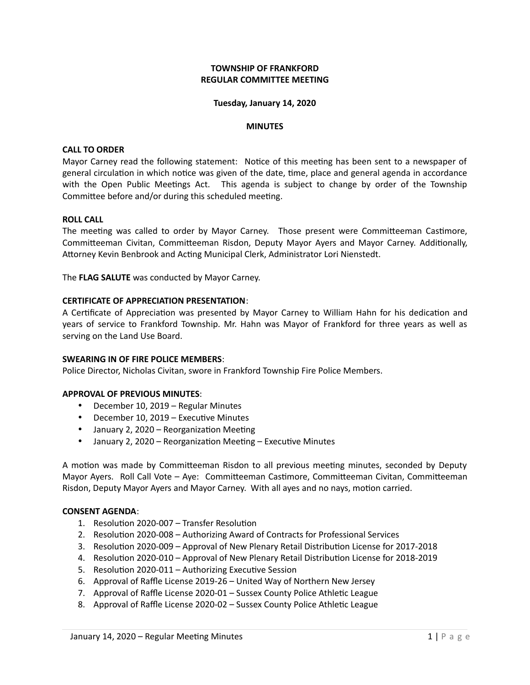## **TOWNSHIP OF FRANKFORD REGULAR COMMITTEE MEETING**

#### **Tuesday, January 14, 2020**

#### **MINUTES**

#### **CALL TO ORDER**

Mayor Carney read the following statement: Notice of this meeting has been sent to a newspaper of general circulation in which notice was given of the date, time, place and general agenda in accordance with the Open Public Meetings Act. This agenda is subject to change by order of the Township Committee before and/or during this scheduled meeting.

#### **ROLL CALL**

The meeting was called to order by Mayor Carney. Those present were Committeeman Castimore, Committeeman Civitan, Committeeman Risdon, Deputy Mayor Ayers and Mayor Carney. Additionally, Attorney Kevin Benbrook and Acting Municipal Clerk, Administrator Lori Nienstedt.

The **FLAG SALUTE** was conducted by Mayor Carney.

#### **CERTIFICATE OF APPRECIATION PRESENTATION**:

A Certificate of Appreciation was presented by Mayor Carney to William Hahn for his dedication and years of service to Frankford Township. Mr. Hahn was Mayor of Frankford for three years as well as serving on the Land Use Board.

#### **SWEARING IN OF FIRE POLICE MEMBERS**:

Police Director, Nicholas Civitan, swore in Frankford Township Fire Police Members.

#### **APPROVAL OF PREVIOUS MINUTES**:

- December 10, 2019 Regular Minutes
- December 10, 2019 Executive Minutes
- January 2, 2020 Reorganization Meeting
- January 2, 2020 Reorganization Meeting Executive Minutes

A motion was made by Committeeman Risdon to all previous meeting minutes, seconded by Deputy Mayor Ayers. Roll Call Vote – Aye: Committeeman Castimore, Committeeman Civitan, Committeeman Risdon, Deputy Mayor Ayers and Mayor Carney. With all ayes and no nays, motion carried.

#### **CONSENT AGENDA**:

- 1. Resolution 2020-007 Transfer Resolution
- 2. Resolution 2020-008 Authorizing Award of Contracts for Professional Services
- 3. Resolution 2020-009 Approval of New Plenary Retail Distribution License for 2017-2018
- 4. Resolution 2020-010 Approval of New Plenary Retail Distribution License for 2018-2019
- 5. Resolution 2020-011 Authorizing Executive Session
- 6. Approval of Raffle License 2019-26 United Way of Northern New Jersey
- 7. Approval of Raffle License 2020-01 Sussex County Police Athletic League
- 8. Approval of Raffle License 2020-02 Sussex County Police Athletic League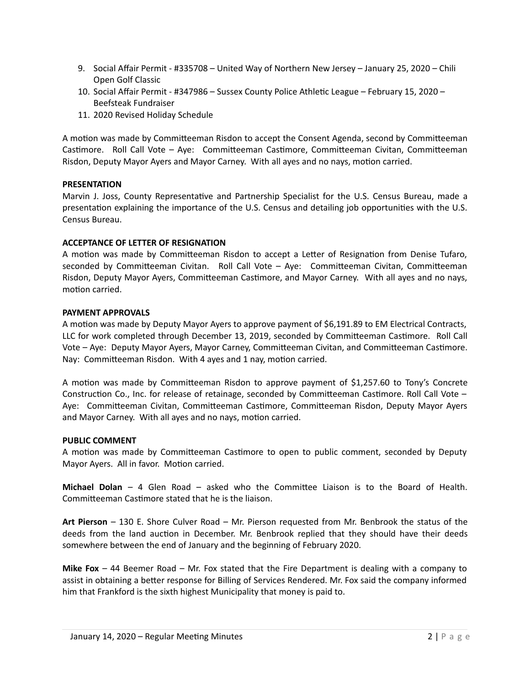- 9. Social Affair Permit #335708 United Way of Northern New Jersey January 25, 2020 Chili Open Golf Classic
- 10. Social Affair Permit #347986 Sussex County Police Athletic League February 15, 2020 Beefsteak Fundraiser
- 11. 2020 Revised Holiday Schedule

A motion was made by Committeeman Risdon to accept the Consent Agenda, second by Committeeman Castimore. Roll Call Vote – Aye: Committeeman Castimore, Committeeman Civitan, Committeeman Risdon, Deputy Mayor Ayers and Mayor Carney. With all ayes and no nays, motion carried.

## **PRESENTATION**

Marvin J. Joss, County Representative and Partnership Specialist for the U.S. Census Bureau, made a presentation explaining the importance of the U.S. Census and detailing job opportunities with the U.S. Census Bureau.

## **ACCEPTANCE OF LETTER OF RESIGNATION**

A motion was made by Committeeman Risdon to accept a Letter of Resignation from Denise Tufaro, seconded by Committeeman Civitan. Roll Call Vote – Aye: Committeeman Civitan, Committeeman Risdon, Deputy Mayor Ayers, Committeeman Castimore, and Mayor Carney. With all ayes and no nays, motion carried.

## **PAYMENT APPROVALS**

A motion was made by Deputy Mayor Ayers to approve payment of \$6,191.89 to EM Electrical Contracts, LLC for work completed through December 13, 2019, seconded by Committeeman Castimore. Roll Call Vote – Aye: Deputy Mayor Ayers, Mayor Carney, Committeeman Civitan, and Committeeman Castimore. Nay: Committeeman Risdon. With 4 ayes and 1 nay, motion carried.

A motion was made by Committeeman Risdon to approve payment of \$1,257.60 to Tony's Concrete Construction Co., Inc. for release of retainage, seconded by Committeeman Castimore. Roll Call Vote – Aye: Committeeman Civitan, Committeeman Castimore, Committeeman Risdon, Deputy Mayor Ayers and Mayor Carney. With all ayes and no nays, motion carried.

## **PUBLIC COMMENT**

A motion was made by Committeeman Castimore to open to public comment, seconded by Deputy Mayor Ayers. All in favor. Motion carried.

**Michael Dolan** – 4 Glen Road – asked who the Committee Liaison is to the Board of Health. Committeeman Castimore stated that he is the liaison.

**Art Pierson** – 130 E. Shore Culver Road – Mr. Pierson requested from Mr. Benbrook the status of the deeds from the land auction in December. Mr. Benbrook replied that they should have their deeds somewhere between the end of January and the beginning of February 2020.

**Mike Fox** – 44 Beemer Road – Mr. Fox stated that the Fire Department is dealing with a company to assist in obtaining a better response for Billing of Services Rendered. Mr. Fox said the company informed him that Frankford is the sixth highest Municipality that money is paid to.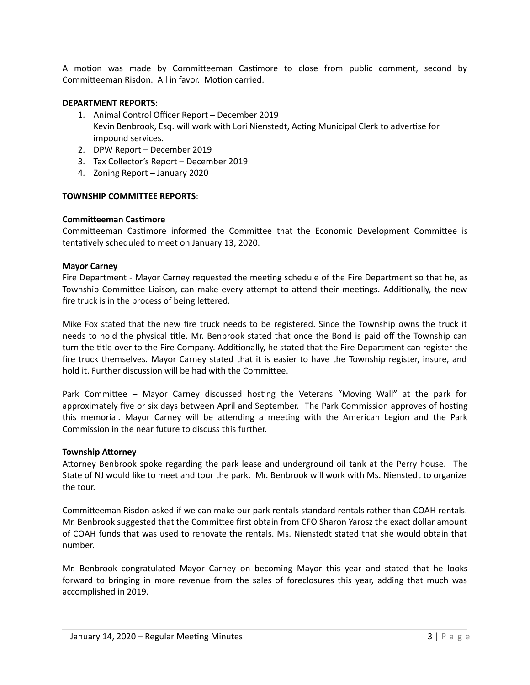A motion was made by Committeeman Castimore to close from public comment, second by Committeeman Risdon. All in favor. Motion carried.

## **DEPARTMENT REPORTS**:

- 1. Animal Control Officer Report December 2019 Kevin Benbrook, Esq. will work with Lori Nienstedt, Acting Municipal Clerk to advertise for impound services.
- 2. DPW Report December 2019
- 3. Tax Collector's Report December 2019
- 4. Zoning Report January 2020

#### **TOWNSHIP COMMITTEE REPORTS**:

#### **Committeeman Castimore**

Committeeman Castimore informed the Committee that the Economic Development Committee is tentatively scheduled to meet on January 13, 2020.

## **Mayor Carney**

Fire Department - Mayor Carney requested the meeting schedule of the Fire Department so that he, as Township Committee Liaison, can make every attempt to attend their meetings. Additionally, the new fire truck is in the process of being lettered.

Mike Fox stated that the new fire truck needs to be registered. Since the Township owns the truck it needs to hold the physical title. Mr. Benbrook stated that once the Bond is paid off the Township can turn the title over to the Fire Company. Additionally, he stated that the Fire Department can register the fire truck themselves. Mayor Carney stated that it is easier to have the Township register, insure, and hold it. Further discussion will be had with the Committee.

Park Committee – Mayor Carney discussed hosting the Veterans "Moving Wall" at the park for approximately five or six days between April and September. The Park Commission approves of hosting this memorial. Mayor Carney will be attending a meeting with the American Legion and the Park Commission in the near future to discuss this further.

#### **Township Attorney**

Attorney Benbrook spoke regarding the park lease and underground oil tank at the Perry house. The State of NJ would like to meet and tour the park. Mr. Benbrook will work with Ms. Nienstedt to organize the tour.

Committeeman Risdon asked if we can make our park rentals standard rentals rather than COAH rentals. Mr. Benbrook suggested that the Committee first obtain from CFO Sharon Yarosz the exact dollar amount of COAH funds that was used to renovate the rentals. Ms. Nienstedt stated that she would obtain that number.

Mr. Benbrook congratulated Mayor Carney on becoming Mayor this year and stated that he looks forward to bringing in more revenue from the sales of foreclosures this year, adding that much was accomplished in 2019.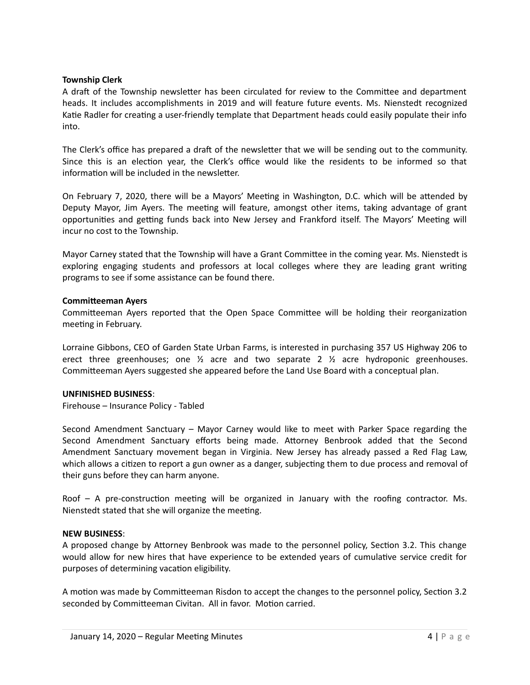## **Township Clerk**

A draft of the Township newsletter has been circulated for review to the Committee and department heads. It includes accomplishments in 2019 and will feature future events. Ms. Nienstedt recognized Katie Radler for creating a user-friendly template that Department heads could easily populate their info into.

The Clerk's office has prepared a draft of the newsletter that we will be sending out to the community. Since this is an election year, the Clerk's office would like the residents to be informed so that information will be included in the newsletter.

On February 7, 2020, there will be a Mayors' Meeting in Washington, D.C. which will be attended by Deputy Mayor, Jim Ayers. The meeting will feature, amongst other items, taking advantage of grant opportunities and getting funds back into New Jersey and Frankford itself. The Mayors' Meeting will incur no cost to the Township.

Mayor Carney stated that the Township will have a Grant Committee in the coming year. Ms. Nienstedt is exploring engaging students and professors at local colleges where they are leading grant writing programs to see if some assistance can be found there.

## **Committeeman Ayers**

Committeeman Ayers reported that the Open Space Committee will be holding their reorganization meeting in February.

Lorraine Gibbons, CEO of Garden State Urban Farms, is interested in purchasing 357 US Highway 206 to erect three greenhouses; one  $\frac{1}{2}$  acre and two separate 2  $\frac{1}{2}$  acre hydroponic greenhouses. Committeeman Ayers suggested she appeared before the Land Use Board with a conceptual plan.

#### **UNFINISHED BUSINESS**:

Firehouse – Insurance Policy - Tabled

Second Amendment Sanctuary – Mayor Carney would like to meet with Parker Space regarding the Second Amendment Sanctuary efforts being made. Attorney Benbrook added that the Second Amendment Sanctuary movement began in Virginia. New Jersey has already passed a Red Flag Law, which allows a citizen to report a gun owner as a danger, subjecting them to due process and removal of their guns before they can harm anyone.

Roof – A pre-construction meeting will be organized in January with the roofing contractor. Ms. Nienstedt stated that she will organize the meeting.

## **NEW BUSINESS**:

A proposed change by Attorney Benbrook was made to the personnel policy, Section 3.2. This change would allow for new hires that have experience to be extended years of cumulative service credit for purposes of determining vacation eligibility.

A motion was made by Committeeman Risdon to accept the changes to the personnel policy, Section 3.2 seconded by Committeeman Civitan. All in favor. Motion carried.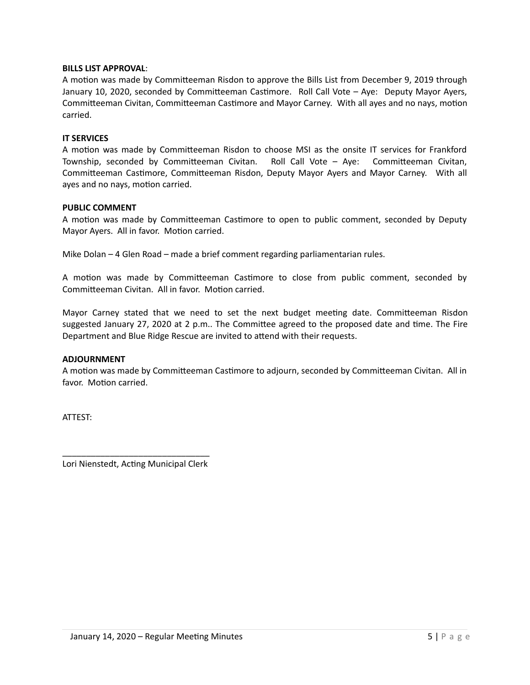## **BILLS LIST APPROVAL**:

A motion was made by Committeeman Risdon to approve the Bills List from December 9, 2019 through January 10, 2020, seconded by Committeeman Castimore. Roll Call Vote – Aye: Deputy Mayor Ayers, Committeeman Civitan, Committeeman Castimore and Mayor Carney. With all ayes and no nays, motion carried.

### **IT SERVICES**

A motion was made by Committeeman Risdon to choose MSI as the onsite IT services for Frankford Township, seconded by Committeeman Civitan. Roll Call Vote – Aye: Committeeman Civitan, Committeeman Castimore, Committeeman Risdon, Deputy Mayor Ayers and Mayor Carney. With all ayes and no nays, motion carried.

## **PUBLIC COMMENT**

A motion was made by Committeeman Castimore to open to public comment, seconded by Deputy Mayor Ayers. All in favor. Motion carried.

Mike Dolan – 4 Glen Road – made a brief comment regarding parliamentarian rules.

A motion was made by Committeeman Castimore to close from public comment, seconded by Committeeman Civitan. All in favor. Motion carried.

Mayor Carney stated that we need to set the next budget meeting date. Committeeman Risdon suggested January 27, 2020 at 2 p.m.. The Committee agreed to the proposed date and time. The Fire Department and Blue Ridge Rescue are invited to attend with their requests.

#### **ADJOURNMENT**

A motion was made by Committeeman Castimore to adjourn, seconded by Committeeman Civitan. All in favor. Motion carried.

ATTEST: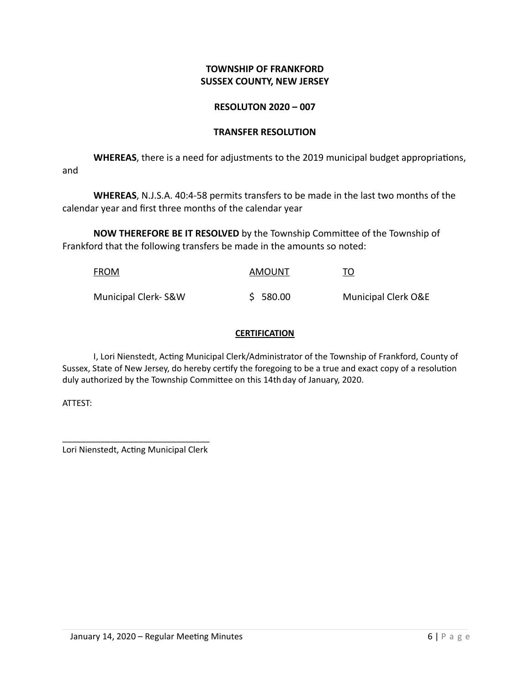# **TOWNSHIP OF FRANKFORD SUSSEX COUNTY, NEW JERSEY**

# **RESOLUTON 2020 – 007**

## **TRANSFER RESOLUTION**

**WHEREAS**, there is a need for adjustments to the 2019 municipal budget appropriations, and

**WHEREAS**, N.J.S.A. 40:4-58 permits transfers to be made in the last two months of the calendar year and first three months of the calendar year

**NOW THEREFORE BE IT RESOLVED** by the Township Committee of the Township of Frankford that the following transfers be made in the amounts so noted:

| <b>FROM</b>         | AMOUNT   | <u>TO</u>                      |
|---------------------|----------|--------------------------------|
| Municipal Clerk-S&W | \$580.00 | <b>Municipal Clerk O&amp;E</b> |

## **CERTIFICATION**

I, Lori Nienstedt, Acting Municipal Clerk/Administrator of the Township of Frankford, County of Sussex, State of New Jersey, do hereby certify the foregoing to be a true and exact copy of a resolution duly authorized by the Township Committee on this 14thday of January, 2020.

ATTEST: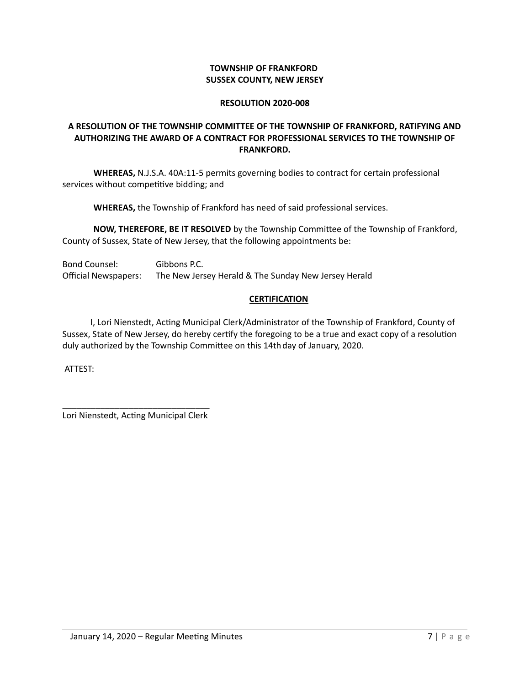## **TOWNSHIP OF FRANKFORD SUSSEX COUNTY, NEW JERSEY**

## **RESOLUTION 2020-008**

# **A RESOLUTION OF THE TOWNSHIP COMMITTEE OF THE TOWNSHIP OF FRANKFORD, RATIFYING AND AUTHORIZING THE AWARD OF A CONTRACT FOR PROFESSIONAL SERVICES TO THE TOWNSHIP OF FRANKFORD.**

**WHEREAS,** N.J.S.A. 40A:11-5 permits governing bodies to contract for certain professional services without competitive bidding; and

**WHEREAS,** the Township of Frankford has need of said professional services.

**NOW, THEREFORE, BE IT RESOLVED** by the Township Committee of the Township of Frankford, County of Sussex, State of New Jersey, that the following appointments be:

Bond Counsel: Gibbons P.C. Official Newspapers: The New Jersey Herald & The Sunday New Jersey Herald

# **CERTIFICATION**

 I, Lori Nienstedt, Acting Municipal Clerk/Administrator of the Township of Frankford, County of Sussex, State of New Jersey, do hereby certify the foregoing to be a true and exact copy of a resolution duly authorized by the Township Committee on this 14thday of January, 2020.

ATTEST: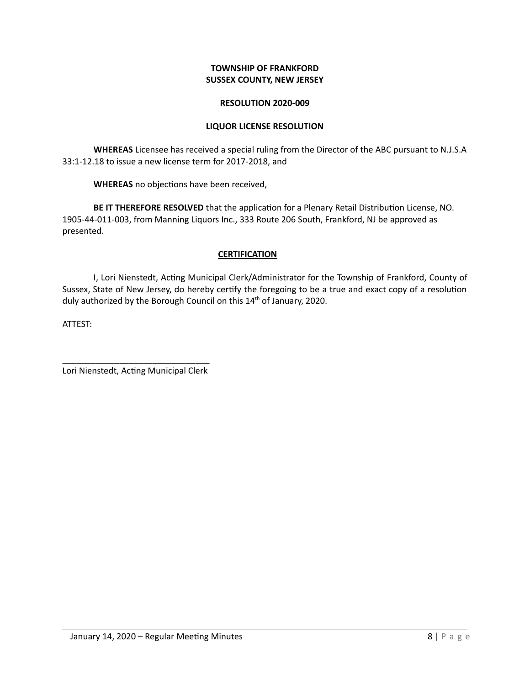## **TOWNSHIP OF FRANKFORD SUSSEX COUNTY, NEW JERSEY**

### **RESOLUTION 2020-009**

## **LIQUOR LICENSE RESOLUTION**

**WHEREAS** Licensee has received a special ruling from the Director of the ABC pursuant to N.J.S.A 33:1-12.18 to issue a new license term for 2017-2018, and

**WHEREAS** no objections have been received,

**BE IT THEREFORE RESOLVED** that the application for a Plenary Retail Distribution License, NO. 1905-44-011-003, from Manning Liquors Inc., 333 Route 206 South, Frankford, NJ be approved as presented.

## **CERTIFICATION**

I, Lori Nienstedt, Acting Municipal Clerk/Administrator for the Township of Frankford, County of Sussex, State of New Jersey, do hereby certify the foregoing to be a true and exact copy of a resolution duly authorized by the Borough Council on this 14<sup>th</sup> of January, 2020.

ATTEST: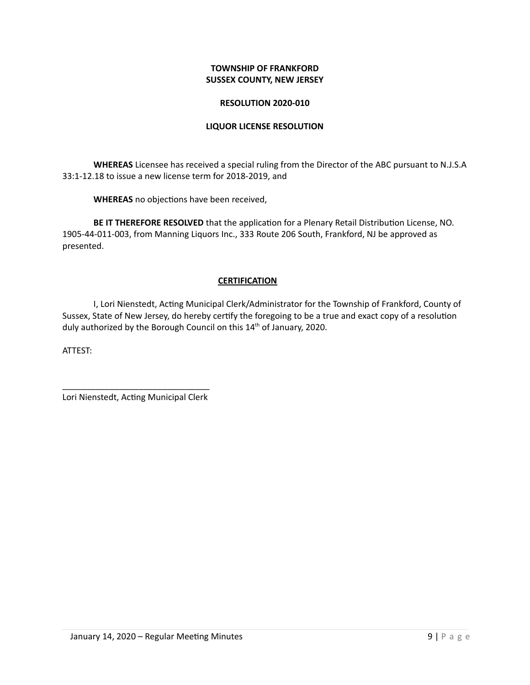## **TOWNSHIP OF FRANKFORD SUSSEX COUNTY, NEW JERSEY**

## **RESOLUTION 2020-010**

## **LIQUOR LICENSE RESOLUTION**

**WHEREAS** Licensee has received a special ruling from the Director of the ABC pursuant to N.J.S.A 33:1-12.18 to issue a new license term for 2018-2019, and

**WHEREAS** no objections have been received,

**BE IT THEREFORE RESOLVED** that the application for a Plenary Retail Distribution License, NO. 1905-44-011-003, from Manning Liquors Inc., 333 Route 206 South, Frankford, NJ be approved as presented.

## **CERTIFICATION**

I, Lori Nienstedt, Acting Municipal Clerk/Administrator for the Township of Frankford, County of Sussex, State of New Jersey, do hereby certify the foregoing to be a true and exact copy of a resolution duly authorized by the Borough Council on this 14<sup>th</sup> of January, 2020.

ATTEST: